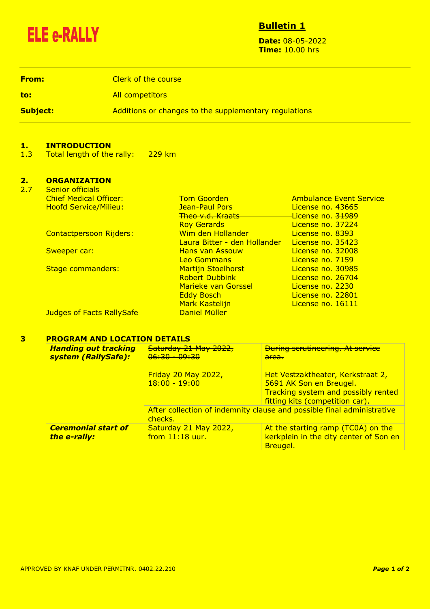

## **Bulletin 1**

**Date:** 08-05-2022 **Time:** 10.00 hrs

**From:** Clerk of the course **to:** All competitors **Subject:** Additions or changes to the supplementary regulations of changes to the supplementary regulations

### **1. INTRODUCTION**

1.3 Total length of the rally: 229 km

#### **2. ORGANIZATION** Conior officials

| <u>SEHIUL UHILIAIS</u>           |                               |                                |
|----------------------------------|-------------------------------|--------------------------------|
| <b>Chief Medical Officer:</b>    | <b>Tom Goorden</b>            | <b>Ambulance Event Service</b> |
| <b>Hoofd Service/Milieu:</b>     | Jean-Paul Pors                | License no. 43665              |
|                                  | <del>Theo v.d. Kraats -</del> | License no. 31989              |
|                                  | <b>Roy Gerards</b>            | License no. 37224              |
| <b>Contactpersoon Rijders:</b>   | Wim den Hollander             | License no. 8393               |
|                                  | Laura Bitter - den Hollander  | License no. 35423              |
| Sweeper car:                     | <b>Hans van Assouw</b>        | License no. 32008              |
|                                  | <b>Leo Gommans</b>            | License no. 7159               |
| <b>Stage commanders:</b>         | <b>Martijn Stoelhorst</b>     | License no. 30985              |
|                                  | <b>Robert Dubbink</b>         | License no. 26704              |
|                                  | Marieke van Gorssel           | License no. 2230               |
|                                  | <b>Eddy Bosch</b>             | License no. 22801              |
|                                  | <b>Mark Kastelijn</b>         | License no. 16111              |
| <b>Judges of Facts RallySafe</b> | Daniel Müller                 |                                |
|                                  |                               |                                |

#### **3 PROGRAM AND LOCATION DETAILS**

| <b>Handing out tracking</b><br>system (RallySafe): | Saturday 21 May 2022,<br>06:30 - 09:30                                            | <b>During scrutineering. At service</b><br>area.                                                                                       |
|----------------------------------------------------|-----------------------------------------------------------------------------------|----------------------------------------------------------------------------------------------------------------------------------------|
|                                                    | <b>Friday 20 May 2022,</b><br>$18:00 - 19:00$                                     | Het Vestzaktheater, Kerkstraat 2,<br>5691 AK Son en Breugel.<br>Tracking system and possibly rented<br>fitting kits (competition car). |
|                                                    | After collection of indemnity clause and possible final administrative<br>checks. |                                                                                                                                        |
| <b>Ceremonial start of</b><br>the e-rally:         | Saturday 21 May 2022,<br>from $11:18$ uur.                                        | At the starting ramp (TC0A) on the<br>kerkplein in the city center of Son en<br>Breugel.                                               |